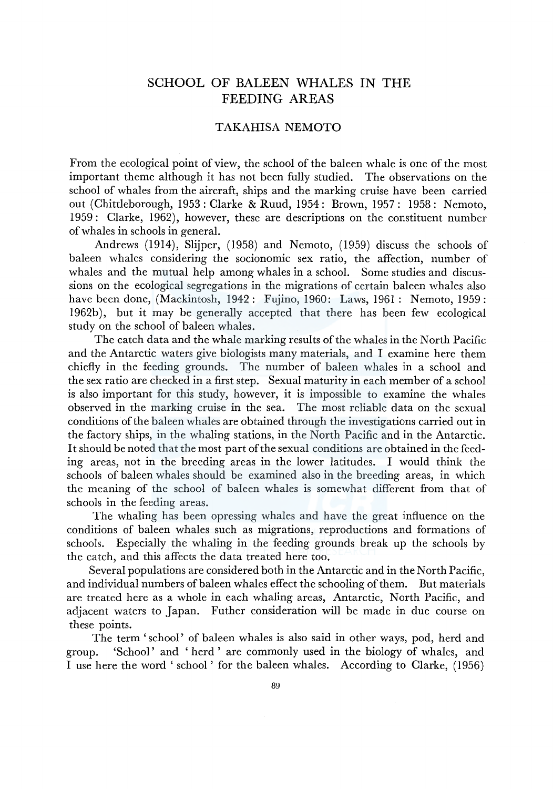# SCHOOL OF BALEEN WHALES IN THE FEEDING AREAS

### TAKAHISA NEMOTO

From the ecological point of view, the school of the baleen whale is one of the most important theme although it has not been fully studied. The observations on the school of whales from the aircraft, ships and the marking cruise have been carried out (Chittleborough, 1953: Clarke & Ruud, 1954: Brown, 1957: 1958: Nemoto, 1959: Clarke, 1962), however, these are descriptions on the constituent number of whales in schools in general.

Andrews (1914), Slijper, (1958) and Nemoto, (1959) discuss the schools of baleen whales considering the socionomic sex ratio, the affection, number of whales and the mutual help among whales in a school. Some studies and discussions on the ecological segregations in the migrations of certain baleen whales also have been done, (Mackintosh, 1942: Fujino, 1960: Laws, 1961: Nemoto, 1959: 1962b), but it may be generally accepted that there has been few ecological study on the school of baleen whales.

The catch data and the whale marking results of the whales in the North Pacific and the Antarctic waters give biologists many materials, and I examine here them chiefly in the feeding grounds. The number of baleen whales in a school and the sex ratio are checked in a first step. Sexual maturity in each member of a school is also important for this study, however, it is impossible to examine the whales observed in the marking cruise in the sea. The most reliable data on the sexual conditions of the baleen whales are obtained through the investigations carried out in the factory ships, in the whaling stations, in the North Pacific and in the Antarctic. It should be noted that the most part of the sexual conditions are obtained in the feeding areas, not in the breeding areas in the lower latitudes. I would think the schools of baleen whales should be examined also in the breeding areas, in which the meaning of the school of baleen whales is somewhat different from that of schools in the feeding areas.

The whaling has been opressing whales and have the great influence on the conditions of baleen whales such as migrations, reproductions and formations of schools. Especially the whaling in the feeding grounds break up the schools by the catch, and this affects the data treated here too.

Several populations are considered both in the Antarctic and in the North Pacific, and individual numbers of baleen whales effect the schooling of them. But materials are treated here as a whole in each whaling areas, Antarctic, North Pacific, and adjacent waters to Japan. Futher consideration will be made in due course on these points.

The term 'school' of baleen whales is also said in other ways, pod, herd and group. 'School' and 'herd' are commonly used in the biology of whales, and I use here the word ' school' for the baleen whales. According to Clarke, (1956)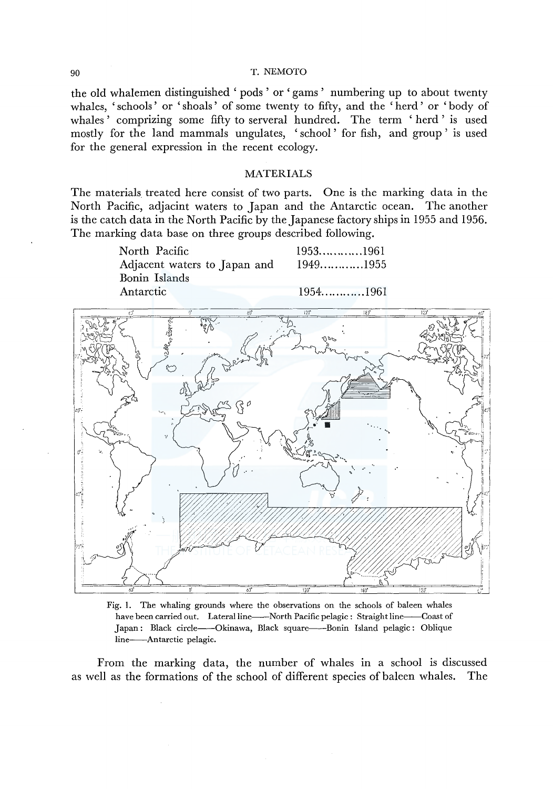the old whalernen distinguished ' pods ' or 'garns ' numbering up to about twenty whales, 'schools' or 'shoals' of some twenty to fifty, and the 'herd' or 'body of whales ' comprizing some fifty to serveral hundred. The term 'herd ' is used mostly for the land mammals ungulates, ' school ' for fish, and group ' is used for the general expression in the recent ecology.

#### MATERIALS

The materials. treated here consist of two parts. One is the marking data in the North Pacific, adjacint waters to Japan and the Antarctic ocean. The another is the catch data in the North Pacific by the Japanese factory ships in 1955 and 1956. The marking data base on three groups described following.

North Pacific 1953.............1961 Adjacent waters to Japan and Bonin Islands Antarctic *l:fj'*  1949 ............ 1955 1954 ............ 1961 l2J' iCJ'



Fig. 1. The whaling grounds where the observations on the schools of baleen whales have been carried out. Lateral line---North Pacific pelagic: Straight line---Coast of Japan: Black circle---Okinawa, Black square----Bonin Island pelagic: Oblique line-Antarctic pelagic.

From the marking data, the number of whales in a school is discussed as well as the formations of the school of different species of baleen whales. The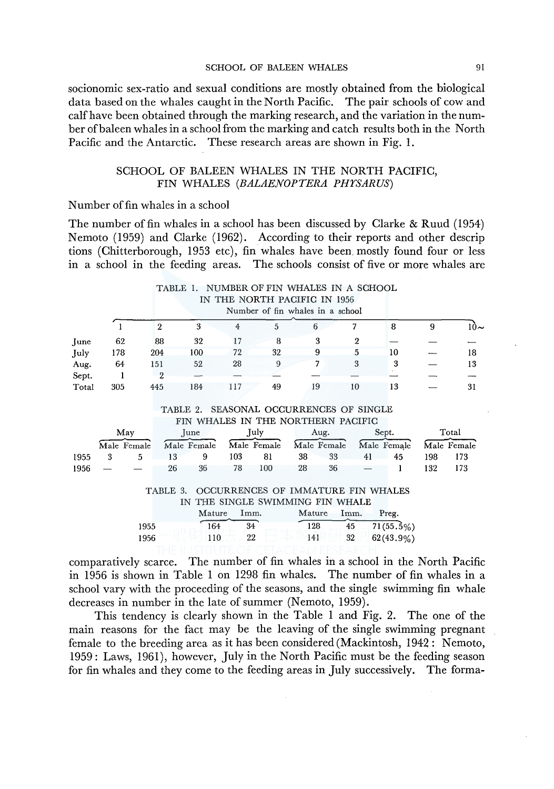#### SCHOOL OF BALEEN WHALES 91

socionomic sex-ratio and sexual conditions are mostly obtained from the biological data based on the whales caught in the North Pacific. The pair schools of cow and calf have been obtained through the marking research, and the variation in the number of baleen whales in a school from the marking and catch results both in the North Pacific and the Antarctic. These research areas are shown in Fig. 1.

## SCHOOL OF BALEEN WHALES IN THE NORTH PACIFIC, FIN WHALES *(BALAENOPTERA PHYSARUS)*

### Number of fin whales in a school

The number of fin whales in a school has been discussed by Clarke & Ruud ( 1954) Nemoto (1959) and Clarke (1962). According to their reports and other descrip tions (Chitterborough, 1953 etc), fin whales have been. mostly found four or less in a school in the feeding areas. The schools consist of five or more whales are

|       |             |      |                | TABLE 1.    | NUMBER OF FIN WHALES IN A SCHOOL        |                                  |        |             |              |                         |     |             |
|-------|-------------|------|----------------|-------------|-----------------------------------------|----------------------------------|--------|-------------|--------------|-------------------------|-----|-------------|
|       |             |      |                |             | IN THE NORTH PACIFIC IN 1956            |                                  |        |             |              |                         |     |             |
|       |             |      |                |             |                                         | Number of fin whales in a school |        |             |              |                         |     |             |
|       |             |      | $\overline{2}$ | 3           | $\overline{4}$                          | 5                                | 6      |             | 7            | 8                       | 9   | $10-$       |
| June  | 62          |      | 88             | 32          | 17                                      | 8                                |        | 3           | $\mathbf{2}$ |                         |     |             |
| July  | 178         |      | 204            | 100         | 72                                      | 32                               |        | 9           | 5            | 10                      |     | 18          |
| Aug.  | 64          |      | 151            | 52          | 28                                      | 9                                |        | 7           | 3            | 3                       |     | 13          |
| Sept. |             |      | 2              |             |                                         |                                  |        |             |              |                         |     |             |
| Total | 305         |      | 445            | 184         | 117                                     | 49                               | 19     |             | 10           | 13                      |     | 31          |
|       |             |      |                |             |                                         |                                  |        |             |              |                         |     |             |
|       |             |      |                |             | TABLE 2. SEASONAL OCCURRENCES OF SINGLE |                                  |        |             |              |                         |     |             |
|       |             |      |                |             | FIN WHALES IN THE NORTHERN PACIFIC      |                                  |        |             |              |                         |     |             |
|       | May         |      |                | June        |                                         | July                             |        | Aug.        |              | Sept.                   |     | Total       |
|       | Male Female |      |                | Male Female |                                         | Male Female                      |        | Male Female |              | Male Female             |     | Male Female |
| 1955  | 3           | 5    | 13             | 9           | 103                                     | 81                               | 38     | 33          | 41           | 45                      | 198 | 173         |
| 1956  |             |      | 26             | 36          | 78                                      | 100                              | 28     | 36          |              |                         | 132 | 173         |
|       |             |      |                |             |                                         |                                  |        |             |              |                         |     |             |
|       |             |      | TABLE 3.       |             | OCCURRENCES OF IMMATURE FIN WHALES      |                                  |        |             |              |                         |     |             |
|       |             |      |                | IN          | THE SINGLE SWIMMING FIN WHALE           |                                  |        |             |              |                         |     |             |
|       |             |      |                | Mature      | Imm.                                    |                                  | Mature |             | Imm.         | Preg.                   |     |             |
|       |             | 1955 |                |             | 34<br>164                               |                                  | 128    |             | 45           | $71(55.\overline{5}\%)$ |     |             |
|       |             | 1956 |                |             | 110                                     | 22                               | 141    |             | 32           | 62(43.9%)               |     |             |

comparatively scarce. The number of fin whales in a school in the North Pacific in 1956 is shown in Table 1 on 1298 fin whales. The number of fin whales in a school vary with the proceeding of the seasons, and the single swimming fin whale decreases in number in the late of summer (Nemoto, 1959).

This tendency is clearly shown in the Table 1 and Fig. 2. The one of the main reasons for the fact may be the leaving of the single swimming pregnant female to the breeding area as it has been considered (Mackintosh, 1942 : Nemoto, 1959: Laws, 1961), however, July in the North Pacific must be the feeding season for fin whales and they come to the feeding areas in July successively. The forma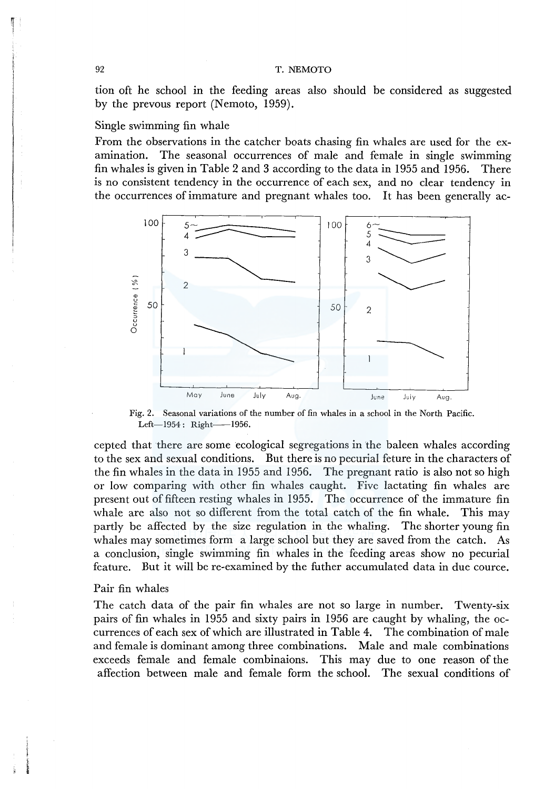tion oft he school in the feeding areas also should be considered as suggested by the prevous report (Nemoto, 1959).

### Single swimming fin whale

From the observations in the catcher boats chasing fin whales are used for the examination. The seasonal occurrences of male and female in single swimming fin whales is given in Table 2 and 3 according to the data in 1955 and 1956. There is no consistent tendency in the occurrence of each sex, and no clear tendency in the occurrences of immature and pregnant whales too. It has been generally ac-



Fig. 2. Seasonal variations of the number of fin whales in a school in the North Pacific. Left-1954: Right-1956.

cepted that there are some ecological segregations in the baleen whales according to the sex and sexual conditions. But there is no pecurial feture in the characters of the fin whales in the data in 1955 and 1956. The pregnant ratio is also not so high or low comparing with other fin whales caught. Five lactating fin whales are present out of fifteen resting whales in 1955. The occurrence of the immature fin whale are also not so different from the total catch of the fin whale. This may partly be affected by the size regulation in the whaling. The shorter young fin whales may sometimes form a large school but they are saved from the catch. As a conclusion, single swimming fin whales in the feeding areas show no pecurial feature. But it will be re-examined by the futher accumulated data in due cource.

#### Pair fin whales

The catch data of the pair fin whales are not so large in number. Twenty-six pairs of fin whales in 1955 and sixty pairs in 1956 are caught by whaling, the occurrences of each sex of which are illustrated in Table 4. The combination of male and female is dominant among three combinations. Male and male combinations exceeds female and female combinaions. This may due to one reason of the affection between male and female form the school. The sexual conditions of

I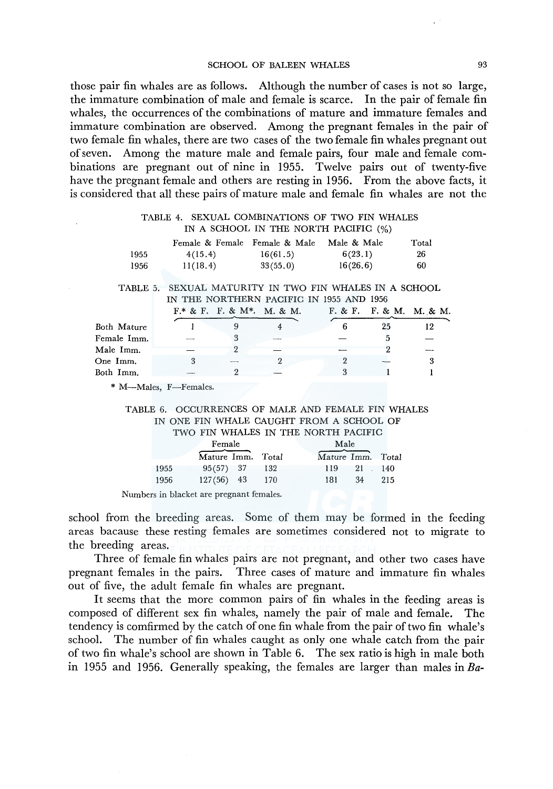#### SCHOOL OF BALEEN WHALES 93

those pair fin whales are as follows. Although the number of cases is not so large, the immature combination of male and female is scarce. In the pair of female fin whales, the occurrences of the combinations of mature and immature females and immature combination are observed. Among the pregnant females in the pair of two female fin whales, there are two cases of the two female fin whales pregnant out of seven. Among the mature male and female pairs, four male and female combinations are pregnant out of nine in 1955. Twelve pairs out of twenty-five have the pregnant female and others are resting in 1956. From the above facts, it is considered that all these pairs of mature male and female fin whales are not the

#### TABLE 4. SEXUAL COMBINATIONS OF TWO FIN WHALES IN A SCHOOL IN THE NORTH PACIFIC (%)

|      | Female & Female Female & Male |          | Male & Male | Total |
|------|-------------------------------|----------|-------------|-------|
| 1955 | 4(15.4)                       | 16(61.5) | 6(23.1)     | 26    |
| 1956 | 11(18.4)                      | 33(55,0) | 16(26.6)    | 60    |

TABLE 5. SEXUAL MATURITY IN TWO FIN WHALES IN A SCHOOL IN THE NORTHERN PACIFIC IN 1955 AND 1956

|             |  | $F$ * & F. F. & M *. M. & M. |    | F. & F. F. & M. M. & M. |
|-------------|--|------------------------------|----|-------------------------|
| Both Mature |  |                              | 25 | 12                      |
| Female Imm. |  |                              |    |                         |
| Male Imm.   |  |                              |    |                         |
| One~Imm.    |  |                              |    |                         |
| Both Imm.   |  |                              |    |                         |

\* M--Males, F-Females.

#### TABLE 6. OCCURRENCES OF MALE AND FEMALE FIN WHALES IN ONE FIN WHALE CAUGHT FROM A SCHOOL OF TWO FIN WHALES IN THE NORTH PACIFIC

|      | Female            |     | Male              |     |
|------|-------------------|-----|-------------------|-----|
|      | Mature Imm. Total |     | Mature Imm. Total |     |
| 1955 | $95(57)$ 37       | 132 | 21 140<br>119     |     |
| 1956 | $127(56)$ 43      | 170 | 34<br>181         | 215 |

Numbers in blacket are pregnant females.

school from the breeding areas. Some of them may be formed in the feeding areas bacause these resting fem ales are sometimes considered not to migrate to the breeding areas.

Three of female fin whales pairs are not pregnant, and other two cases have pregnant females in the pairs. Three cases of mature and immature fin whales out of five, the adult female fin whales are pregnant.

It seems that the more common pairs of fin whales in the feeding areas is composed of different sex fin whales, namely the pair of male and female. The tendency is comfirmed by the catch of one fin whale from the pair of two fin whale's school. The number of fin whales caught as only one whale catch from the pair of two fin whale's school are shown in Table 6. The sex ratio is high in male both in 1955 and 1956. Generally speaking, the females are larger than males in *Ba-*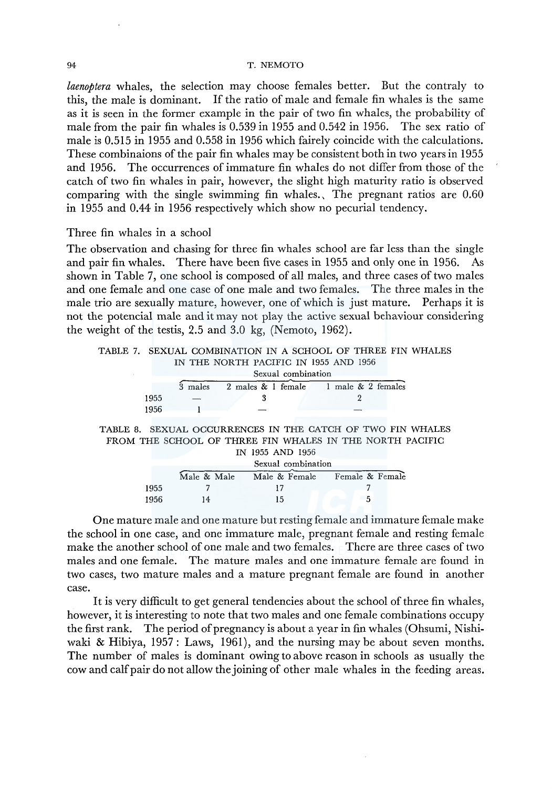*laenoptera* whales, the selection may choose females better. But the contraly to this, the male is dominant. If the ratio of male and female fin whales is the same as it is seen in the former example in the pair of two fin whales, the probability of male from the pair fin whales is 0.539 in 1955 and 0.542 in 1956. The sex ratio of male is 0.515 in 1955 and 0.558 in 1956 which fairely coincide with the calculations. These combinaions of the pair fin whales may be consistent both in two years in 1955 and 1956. The occurrences of immature fin whales do not differ from those of the catch of two fin whales in pair, however, the slight high maturity ratio is observed comparing with the single swimming fin whales., The pregnant ratios are 0.60 in 1955 and 0.44 in 1956 respectively which show no pecurial tendency.

## Three fin whales in a school

The observation and chasing for three fin whales school are far less than the single and pair fin whales. There have been five cases in 1955 and only one in 1956. As shown in Table 7, one school is composed of all males, and three cases of two males and one female and one case of one male and two females. The three males in the male trio are sexually mature, however, one of which is just mature. Perhaps it is not the potencial male and it may not play the active sexual behaviour considering the weight of the testis,  $2.5$  and  $3.0$  kg, (Nemoto,  $1962$ ).

# TABLE 7. SEXUAL COMBINATION IN A SCHOOL OF THREE FIN WHALES IN THE NORTH PACIFIC IN 1955 AND 1956 Sexual combination

|      |  | 3 males 2 males & 1 female 1 male & 2 females |
|------|--|-----------------------------------------------|
| 1955 |  |                                               |
| 1956 |  |                                               |

TABLE 8. SEXUAL OCCURRENCES IN THE CATCH OF TWO FIN WHALES FROM THE SCHOOL OF THREE FIN WHALES IN THE NORTH PACIFIC IN 1955 AND 1956

|      |             | Sexual combination |                 |
|------|-------------|--------------------|-----------------|
|      | Male & Male | Male & Female      | Female & Female |
| 1955 |             |                    |                 |
| 1956 | 14          | 15                 |                 |

One mature male and one mature but resting female and immature female make the school in one case, and one immature male, pregnant female and resting female make the another school of one male and two females. There are three cases of two males and one female. The mature males and one immature female are found in two cases, two mature males and a mature pregnant female are found in another case.

It is very difficult to get general tendencies about the school of three fin whales, however, it is interesting to note that two males and one female combinations occupy the first rank. The period of pregnancy is about a year in fin whales (Ohsumi, Nishiwaki & Hibiya, 1957: Laws, 1961), and the nursing may be about seven months. The number of males is dominant owing to above reason in schools as usually the cow and calf pair do not allow the joining of other male whales in the feeding areas.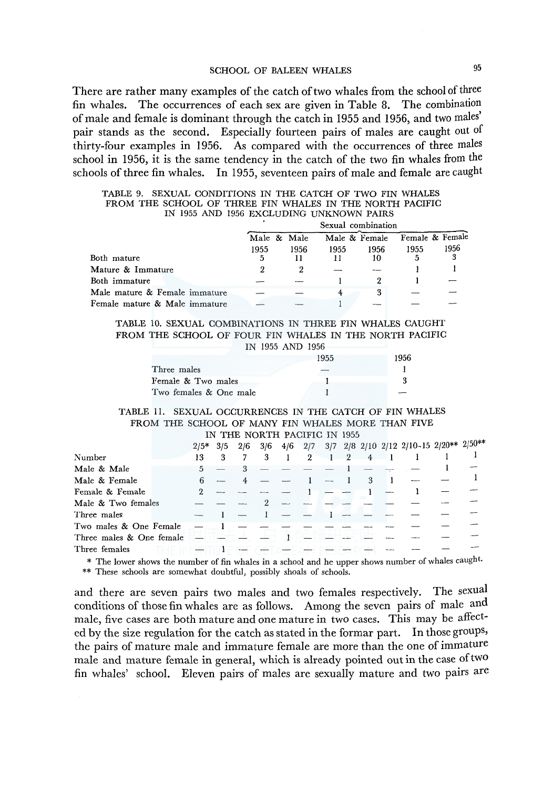# SCHOOL OF BALEEN WHALES 95

There are rather many examples of the catch of two whales from the school of three fin whales. The occurrences of each sex are given in Table 8. The combination of male and female is dominant through the catch in 1955 and 1956, and two males' pair stands as the second. Especially fourteen pairs of males are caught out of thirty-four examples in 1956. As compared with the occurrences of three males school in 1956, it is the same tendency in the catch of the two fin whales from the schools of three fin whales. In 1955, seventeen pairs of male and female are caught

|                               |             |      | Sexual combination |      |                 |      |
|-------------------------------|-------------|------|--------------------|------|-----------------|------|
|                               | Male & Male |      | Male & Female      |      | Female & Female |      |
|                               | 1955        | 1956 | 1955               | 1956 | 1955            | 1956 |
| Both mature                   | 5           |      |                    | 10   |                 | 3    |
| Mature & Immature             |             |      |                    |      |                 |      |
| Both immature                 |             |      |                    |      |                 |      |
| Male mature & Female immature |             |      |                    | 3    |                 |      |
| Female mature & Male immature |             |      |                    |      |                 |      |

|  |  |                                          |  |  |  | TABLE 9. SEXUAL CONDITIONS IN THE CATCH OF TWO FIN WHALES |
|--|--|------------------------------------------|--|--|--|-----------------------------------------------------------|
|  |  |                                          |  |  |  | FROM THE SCHOOL OF THREE FIN WHALES IN THE NORTH PACIFIC  |
|  |  | IN 1955 AND 1956 EXCLUDING UNKNOWN PAIRS |  |  |  |                                                           |

|  | TABLE 10. SEXUAL COMBINATIONS IN THREE FIN WHALES CAUGHT |  |  |  |  |  |  |
|--|----------------------------------------------------------|--|--|--|--|--|--|
|  | FROM THE SCHOOL OF FOUR FIN WHALES IN THE NORTH PACIFIC  |  |  |  |  |  |  |
|  |                                                          |  |  |  |  |  |  |

|                        | IN 1955 AND 1956 |      |
|------------------------|------------------|------|
|                        | 1955             | 1956 |
| Three males            |                  |      |
| Female & Two males     |                  |      |
| Two females & One male |                  |      |

#### TABLE JI. SEXUAL OCCURRENCES IN THE CATCH OF FIN WHALES FROM THE SCHOOL OF MANY FIN WHALES MORE THAN FIVE IN THE NORTH PACIFIC IN 1955

|                                        | $2/5*$ | 3/5 |   |                |                |   | $2/6 \quad 3/6 \quad 4/6 \quad 2/7 \quad 3/7 \quad 2/8 \quad 2/10 \quad 2/12 \quad 2/10 - 15 \quad 2/20^{**} \quad 2/50^{**}$ |  |
|----------------------------------------|--------|-----|---|----------------|----------------|---|-------------------------------------------------------------------------------------------------------------------------------|--|
| Number                                 | 13     | 3   | 3 | $\overline{2}$ | $\overline{2}$ | 4 |                                                                                                                               |  |
| Male & Male                            |        |     |   |                |                |   |                                                                                                                               |  |
| Male & Female                          |        |     |   |                |                | 3 |                                                                                                                               |  |
| Female & Female                        |        |     |   |                |                |   |                                                                                                                               |  |
| Male & Two females                     |        |     |   |                |                |   |                                                                                                                               |  |
| Three males                            |        |     |   |                |                |   |                                                                                                                               |  |
| Two males & One Female                 |        |     |   |                |                |   |                                                                                                                               |  |
| Three males $\&$ One female $\qquad$ – |        |     |   |                |                |   |                                                                                                                               |  |
| Three females                          |        |     |   |                |                |   |                                                                                                                               |  |
|                                        |        |     |   |                |                |   |                                                                                                                               |  |

\* The lower shows the number of fin whales in a school and he upper shows number of whales caught. \*\* These schools are somewhat doubtful, possibly shoals of schools.

and there are seven pairs two males and two females respectively. The sexual conditions of those fin whales are as follows. Among the seven pairs of male and male, five cases are both mature and one mature in two cases. This may be affected by the size regulation for the catch as stated in the formar part. In those groups, the pairs of mature male and immature female are more than the one of immature male and mature female in general, which is already pointed out in the case of two fin whales' school. Eleven pairs of males are sexually mature and two pairs are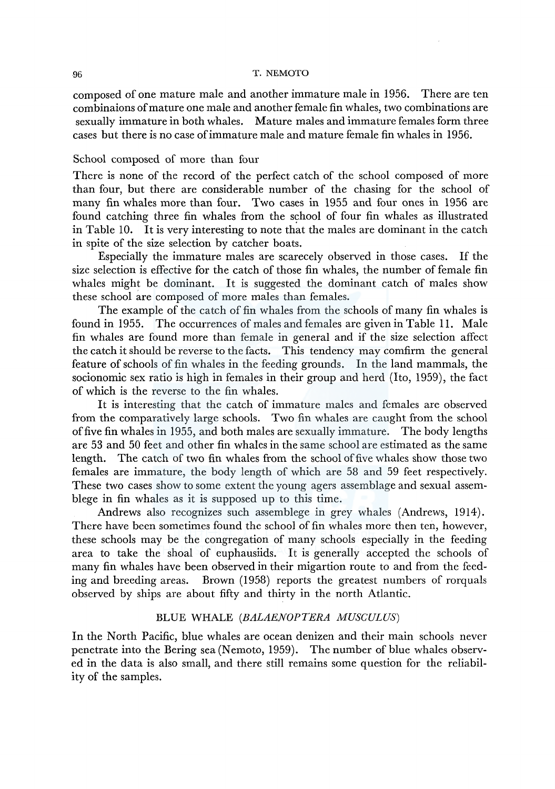composed of one mature male and another immature male in 1956. There are ten combinaions of mature one male and another female fin whales, two combinations are sexually immature in both whales. Mature males and immature females form three cases but there is no case of immature male and mature female fin whales in 1956.

### School composed of more than four

There is none of the record of the perfect catch of the school composed of more than four, but there are considerable number of the chasing for the school of many fin whales more than four. Two cases in 1955 and four ones in 1956 are found catching three fin whales from the school of four fin whales as illustrated in Table  $10.$  It is very interesting to note that the males are dominant in the catch in spite of the size selection by catcher boats.

Especially the immature males are scarecely observed in those cases. If the size selection is effective for the catch of those fin whales, the number of female fin whales might be dominant. It is suggested the dominant catch of males show these school are composed of more males than females.

The example of the catch of fin whales from the schools of many fin whales is found in 1955. The occurrences of males and females are given in Table 11. Male fin whales are found more than female in general and if the size selection affect the catch it should be reverse to the facts. This tendency may comfirm the general feature of schools of fin whales in the feeding grounds. In the land mammals, the socionomic sex ratio is high in females in their group and herd (Ito, 1959), the fact of which is the reverse to the fin whales.

It is interesting that the catch of immature males and females are observed from the comparatively large schools. Two fin whales are caught from the school of five fin whales in 1955, and both males are sexually immature. The body lengths are 53 and 50 feet and other fin whales in the same school are estimated as the same length. The catch of two fin whales from the school of five whales show those two females are immature, the body length of which are 58 and 59 feet respectively. These two cases show to some extent the young agers assemblage and sexual assemblege in fin whales as it is supposed up to this time.

Andrews also recognizes such assemblege in grey whales (Andrews, 1914). There have been sometimes found the school of fin whales more then ten, however, these schools may be the congregation of many schools especially in the feeding area to take the shoal of euphausiids. It is generally accepted the schools of many fin whales have been observed in their migartion route to and from the feeding and breeding areas. Brown (1958) reports the greatest numbers of rorquals observed by ships are about fifty and thirty in the north Atlantic.

## BLUE WHALE *(BALAENOPTERA MUSCULUS)*

In the North Pacific, blue whales are ocean denizen and their main schools never penetrate into the Bering sea (Nemoto, 1959). The number of blue whales observed in the data is also small, and there still remains some question for the reliability of the samples.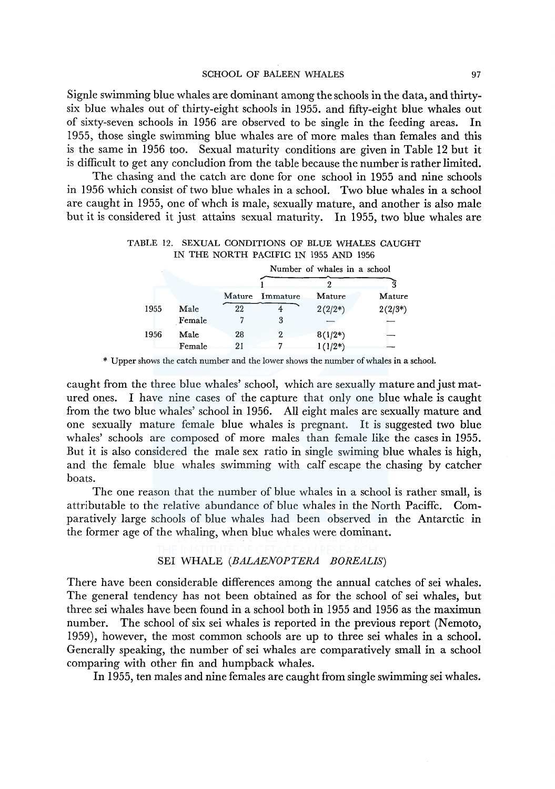Signle swimming blue whales are dominant among the schools in the data, and thirtysix blue whales out of thirty-eight schools in 1955. and fifty-eight blue whales out of sixty-seven schools in 1956 are observed to be single in the feeding areas. In 1955, those single swimming blue whales are of more males than females and this is the same in 1956 too. Sexual maturity conditions are given in Table 12 but it is difficult to get any concludion from the table because the number is rather limited.

The chasing and the catch are done for one school in 1955 and nine schools in 1956 which consist of two blue whales in a school. Two blue whales in a school are caught in 1955, one of whch is male, sexually mature, and another is also male but it is considered it just attains sexual maturity. In 1955, two blue whales are

|  |  |                                       |  |  | TABLE 12. SEXUAL CONDITIONS OF BLUE WHALES CAUGHT |
|--|--|---------------------------------------|--|--|---------------------------------------------------|
|  |  | IN THE NORTH PACIFIC IN 1955 AND 1956 |  |  |                                                   |

|      |        | Number of whales in a school |                 |              |            |  |  |  |
|------|--------|------------------------------|-----------------|--------------|------------|--|--|--|
|      |        |                              |                 |              |            |  |  |  |
|      |        |                              | Mature Immature | Mature       | Mature     |  |  |  |
| 1955 | Male   | 22                           |                 | $2(2/2^{*})$ | $2(2/3^*)$ |  |  |  |
|      | Female |                              | 3               |              |            |  |  |  |
| 1956 | Male   | 28                           | 2               | $8(1/2^*)$   |            |  |  |  |
|      | Female | 21                           |                 | $1(1/2^*)$   |            |  |  |  |

\* Upper shows the catch number and the lower shows the number of whales in a school.

caught from the three blue whales' school, which are sexually mature and just matured ones. I have nine cases of the capture that only one blue whale is caught from the two blue whales' school in 1956. All eight males are sexually mature and one sexually mature female blue whales is pregnant. It is suggested two blue whales' schools are composed of more males than female like the cases in 1955. But it is also considered the male sex ratio in single swiming blue whales is high, and the female blue whales swimming with calf escape the chasing by catcher boats.

The one reason that the number of blue whales in a school is rather small, is attributable to the relative abundance of blue whales in the North Paciffc. Comparatively large schools of blue whales had been observed in the Antarctic in the former age of the whaling, when blue whales were dominant.

# SEI WHALE *(BALAENOPTERA BOREALIS)*

There have been considerable differences among the annual catches of sei whales. The general tendency has not been obtained as for the school of sei whales, but three sei whales have been found in a school both in 1955 and 1956 as the maximun number. The school of six sei whales is reported in the previous report (Nemoto, 1959), however, the most common schools are up to three sei whales in a school. Generally speaking, the number of sei whales are comparatively small in a school comparing with other fin and humpback whales.

In 1955, ten males and nine females are caught from single swimming sei whales.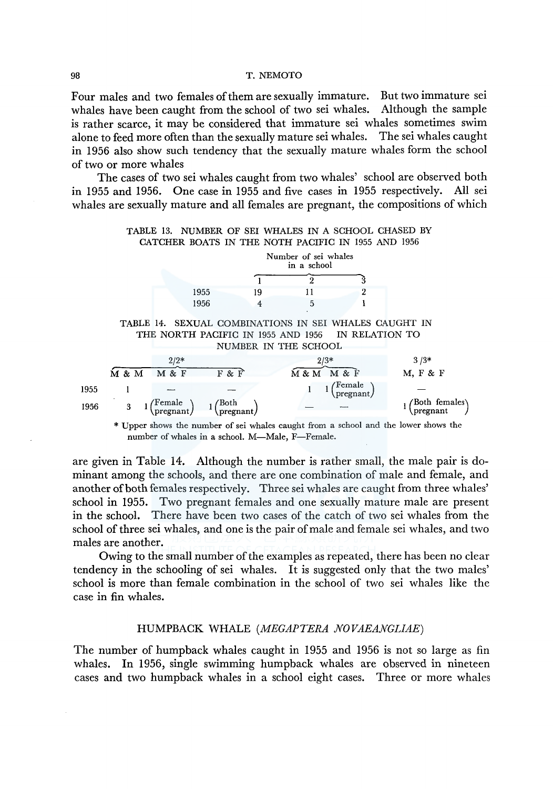Four males and two females of them are sexually immature. But two immature sei whales have been caught from the school of two sei whales. Although the sample is rather scarce, it may be considered that immature sei whales sometimes swim alone to feed more often than the sexually mature sei whales. The sei whales caught in 1956 also show such tendency that the sexually mature whales form the school of two or more whales

The cases of two sei whales caught from two whales' school are observed both in 1955 and 1956. One case in 1955 and five cases in 1955 respectively. All sei whales are sexually mature and all females are pregnant, the compositions of which



number of whales in a school. M-Male, F-Female.

are given in Table 14. Although the number is rather small, the male pair is dominant among the schools, and there are one combination of male and female, and another of both females respectively. Three sei whales are caught from three whales' school in 1955. Two pregnant females and one sexually mature male are present in the school. There have been two cases of the catch of two sei whales from the school of three sei whales, and one is the pair of male and female sei whales, and two males are another.

Owing to the small number of the examples as repeated, there has been no clear tendency in the schooling of sei whales. It is suggested only that the two males' school is more than female combination in the school of two sei whales like the case in fin whales.

### HUMPBACK WHALE *(MEGAPTERA NOVAEANGLIAE)*

The number of humpback whales caught in 1955 and 1956 is not so large as fin whales. In 1956, single swimming humpback whales are observed in nineteen cases and two humpback whales in a school eight cases. Three or more whales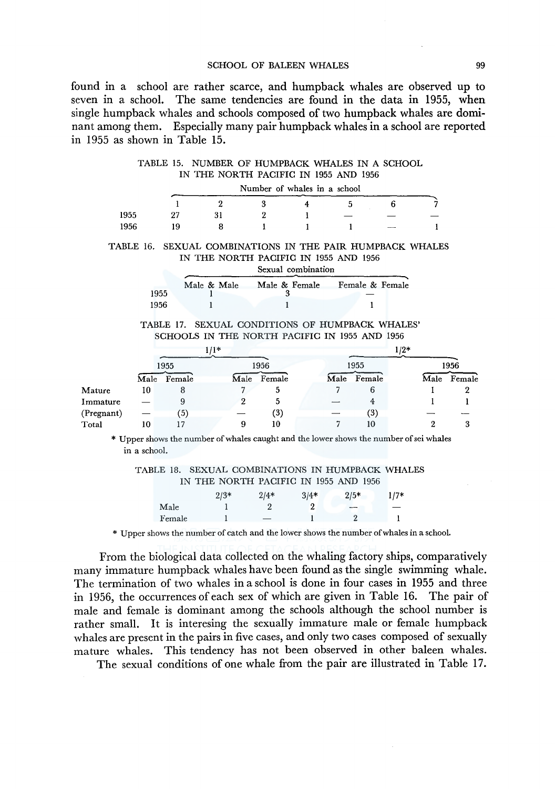#### SCHOOL OF BALEEN WHALES 99

found in a school are rather scarce, and humpback whales are observed up to seven in a school. The same tendencies are found in the data in 1955, when single humpback whales and schools composed of two humpback whales are dominant among them. Especially many pair humpback whales in a school are reported m 1955 as shown in Table 15.

TABLE 15. NUMBER OF HUMPBACK WHALES IN A SCHOOL IN THE NORTH PACIFIC IN 1955 AND 1956

|      | Number of whales in a school |  |  |  |  |     |  |  |  |  |  |  |
|------|------------------------------|--|--|--|--|-----|--|--|--|--|--|--|
|      |                              |  |  |  |  |     |  |  |  |  |  |  |
| 1955 |                              |  |  |  |  |     |  |  |  |  |  |  |
| 1956 | , Q                          |  |  |  |  | $-$ |  |  |  |  |  |  |

TABLE 16. SEXUAL COMBINATIONS IN THE PAIR HUMPBACK WHALES IN THE NORTH PACIFIC IN 1955 AND 1956

|      | Sexual combination |               |                 |  |  |  |  |  |
|------|--------------------|---------------|-----------------|--|--|--|--|--|
| 1955 | Male & Male        | Male & Female | Female & Female |  |  |  |  |  |
|      |                    |               |                 |  |  |  |  |  |
| 1956 |                    |               |                 |  |  |  |  |  |

TABLE 17. SEXUAL CONDITIONS OF HUMPBACK WHALES' SCHOOLS IN THE NORTH PACIFIC IN 1955 AND 1956

|            |      | $1/1*$ |   |             |  |      | $1/2*$ |  |      |        |
|------------|------|--------|---|-------------|--|------|--------|--|------|--------|
|            |      | 1955   |   | 1956        |  |      | 1955   |  |      | 1956   |
|            | Male | Female |   | Male Female |  | Male | Female |  | Male | Female |
| Mature     | 10   |        |   | 5           |  |      | 6      |  |      |        |
| Immature   |      |        |   | 5           |  |      | 4      |  |      |        |
| (Pregnant) |      | (5)    |   | (3)         |  |      | (3)    |  |      |        |
| Total      | 10   |        | 9 | 10          |  |      | 10     |  |      |        |

\* Upper shows the number of whales caught and the lower shows the number of sei whales in a school.

TABLE 18. SEXUAL COMBINATIONS IN HUMPBACK WHALES

|        | IN THE NORTH PACIFIC IN 1955 AND 1956 |        |        |                          |        |
|--------|---------------------------------------|--------|--------|--------------------------|--------|
|        | $2/3*$                                | $2/4*$ | $3/4*$ | $2/5*$                   | $1/7*$ |
| Male   |                                       | 9      | 2      | $\overline{\phantom{a}}$ |        |
| Female |                                       |        |        |                          |        |

\* Upper shows the number of catch and the lower shows the number of whales in a school.

From the biological data collected on the whaling factory ships, comparatively many immature humpback whales have been found as the single swimming whale. The termination of two whales in a school is done in four cases in 1955 and three in 1956, the occurrences of each sex of which are given in Table 16. The pair of male and female is dominant among the schools although the school number is rather small. It is interesing the sexually immature male or female humpback whales are present in the pairs in five cases, and only two cases composed of sexually mature whales. This tendency has not been observed in other baleen whales.

The sexual conditions of one whale from the pair are illustrated in Table 17.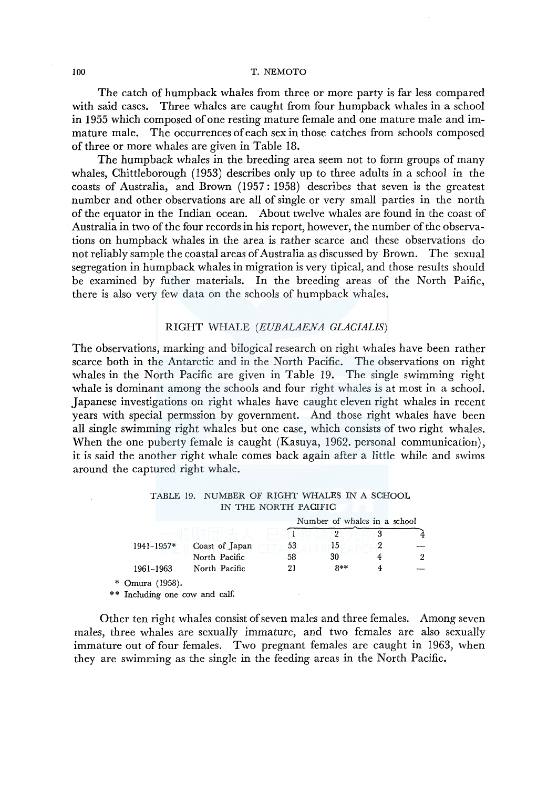The catch of humpback whales from three or more party is far less compared with said cases. Three whales are caught from four humpback whales in a school in 1955 which composed of one resting mature female and one mature male and immature male. The occurrences of each sex in those catches from schools composed of three or more whales are given in Table 18.

The humpback whales in the breeding area seem not to form groups of many whales, Chittleborough (1953) describes only up to three adults in a school in the coasts of Australia, and Brown (1957: 1958) describes that seven is the greatest number and other observations are all of single or very small parties in the north of the equator in the Indian ocean. About twelve whales are found in the coast of Australia in two of the four records in his report, however, the number of the observations on humpback whales in the area is rather scarce and these observations do not reliably sample the coastal areas of Australia as discussed by Brown. The sexual segregation in humpback whales in migration is very tipical, and those results should be examined by futher materials. In the breeding areas of the North Paific, there is also very few data on the schools of humpback whales.

### RIGHT WHALE *(EUBALAENA GLACIALIS)*

The observations, marking and bilogical research on right whales have been rather scarce both in the Antarctic and in the North Pacific. The observations on right whales in the North Pacific are given in Table 19. The single swimming right whale is dominant among the schools and four right whales is at most in a school. Japanese investigations on right whales have caught eleven right whales in recent years with special permssion by government. And those right whales have been all single swimming right whales but one case, which consists of two right whales. When the one puberty female is caught (Kasuya, 1962. personal communication), it is said the another right whale comes back again after a little while and swims around the captured right whale.

| TABLE 19. NUMBER OF RIGHT WHALES IN A SCHOOL |
|----------------------------------------------|
| IN THE NORTH PACIFIC                         |
| Number of whales in a school                 |

|                                |                | Number of whales in a school |          |  |   |  |
|--------------------------------|----------------|------------------------------|----------|--|---|--|
|                                |                |                              | $\Omega$ |  |   |  |
| 1941-1957*                     | Coast of Japan | 53                           | כ ו      |  |   |  |
|                                | North Pacific  | 58                           | 30       |  | 2 |  |
| 1961-1963                      | North Pacific  | 21                           | $8**$    |  |   |  |
| * Omura $(1958)$ .             |                |                              |          |  |   |  |
| ** Including one cow and calf. |                |                              |          |  |   |  |

Other ten right whales consist of seven males and three females. Among seven males, three whales are sexually immature, and two females are also sexually immature out of four females. Two pregnant females are caught in 1963, when they are swimming as the single in the feeding areas in the North Pacific.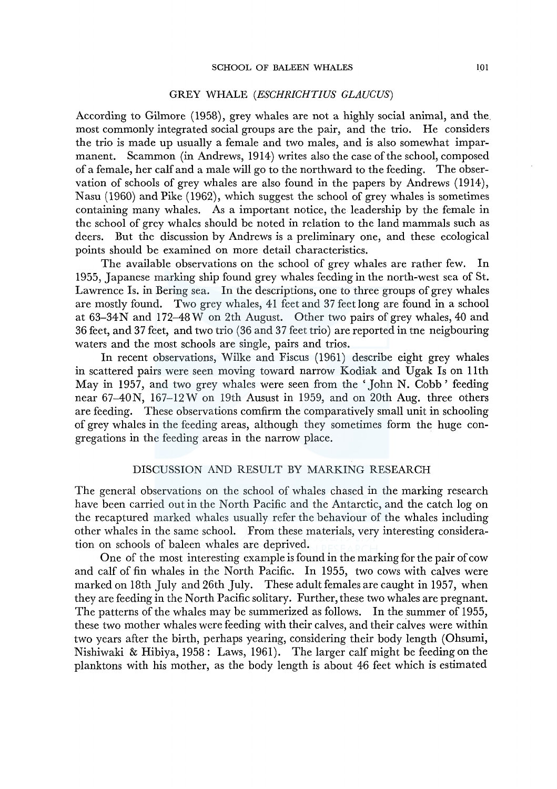### GREY WHALE *(ESCHRICHTIUS GLAUCUS)*

According to Gilmore (1958), grey whales are not a highly social animal, and the. most commonly integrated social groups are the pair, and the trio. He considers the trio is made up usually a female and two males, and is also somewhat imparmanent. Scammon (in Andrews, 1914) writes also the case of the school, composed of a female, her calf and a male will go to the northward to the feeding. The observation of schools of grey whales are also found in the papers by Andrews (1914), Nasu (1960) and Pike (1962), which suggest the school of grey whales is sometimes containing many whales. As a important notice, the leadership by the female in the school of grey whales should be noted in relation to the land mammals such as deers. But the discussion by Andrews is a preliminary one, and these ecological points should be examined on more detail characteristics.

The available observations on the school of grey whales are rather few. In 1955, Japanese marking ship found grey whales feeding in the north-west sea of St. Lawrence Is. in Bering sea. In the descriptions, one to three groups of grey whales are mostly found. Two grey whales, 41 feet and 37 feet long are found in a school at 63-34 N and 172-48 W on 2th August. Other two pairs of grey whales, 40 and 36 feet, and 37 feet, and two trio (36 and 37 feet trio) are reported in tne neigbouring waters and the most schools are single, pairs and trios.

In recent observations, Wilke and Fiscus (1961) describe eight grey whales in scattered pairs were seen moving toward narrow Kodiak and Ugak Is on llth May in 1957, and two grey whales were seen from the 'John N. Cobb' feeding near 67-40N, 167-12W on 19th Ausust in 1959, and on 20th Aug. three others are feeding. These observations comfirm the comparatively small unit in schooling of grey whales in the feeding areas, although they sometimes form the huge congregations in the feeding areas in the narrow place.

#### DISCUSSION AND RESULT BY MARKING RESEARCH

The general observations on the school of whales chased in the marking research have been carried out in the North Pacific and the Antarctic, and the catch log on the recaptured marked whales usually refer the behaviour of the whales including other whales in the same school. From these materials, very interesting consideration on schools of baleen whales are deprived.

One of the most interesting example is found in the marking for the pair of cow and calf of fin whales in the North Pacific. In 1955, two cows with calves were marked on 18th July and 26th July. These adult females are caught in 1957, when they are feeding in the North Pacific solitary. Further, these two whales are pregnant. The patterns of the whales may be summerized as follows. In the summer of 1955, these two mother whales were feeding with their calves, and their calves were within two years after the birth, perhaps yearing, considering their body length (Ohsumi, Nishiwaki & Hibiya, 1958: Laws, 1961). The larger calf might be feeding on the planktons with his mother, as the body length is about 46 feet which is estimated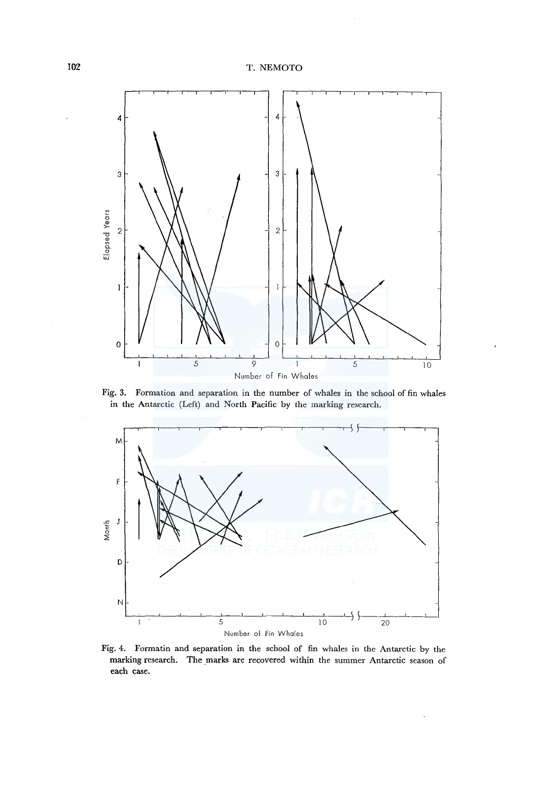

Fig. 3. Formation and separation in the number of whales in the school of fin whales in the Antarctic (Left) and North Pacific by the marking research.



Fig. 4. Formatin and separation in the school of fin whales in the Antarctic by the marking research. The marks are recovered within the summer Antarctic season of each case.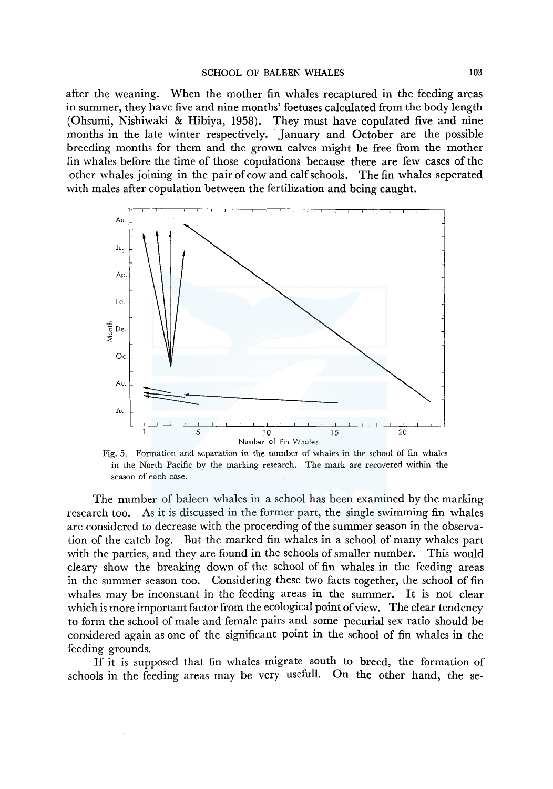after the weaning. When the mother fin whales recaptured in the feeding areas in summer, they have five and nine months' foetuses calculated from the body length (Ohsumi, Nishiwaki & Hibiya, 1958). They must have copulated five and nine months in the late winter respectively. January and October are the possible breeding months for them and the grown calves might be free from the mother fin whales before the time of those copulations because there are few cases of the other whales joining in the pair of cow and calf schools. The fin whales seperated with males after copulation between the fertilization and being caught.



Fig. 5. Formation and separation in the number of whales in the school of fin whales in the North Pacific by the marking research. The mark are recovered within the season of each case.

The number of baleen whales in a school has been examined by the marking research too. As it is discussed in the former part, the single swimming fin whales are considered to decrease with the proceeding of the summer season in the observation of the catch log. But the marked fin whales in a school of many whales part with the parties, and they are found in the schools of smaller number. This would cleary show the breaking down of the school of fin whales in the feeding areas in the summer season too. Considering these two facts together, the school of fin whales may be inconstant in the feeding areas in the summer. It is not clear which is more important factor from the ecological point of view. The clear tendency to form the school of male and female pairs and some pecurial sex ratio should be considered again as one of the significant point in the school of fin whales in the feeding grounds.

If it is supposed that fin whales migrate south to breed, the formation of schools in the feeding areas may be very usefull. On the other hand, the se-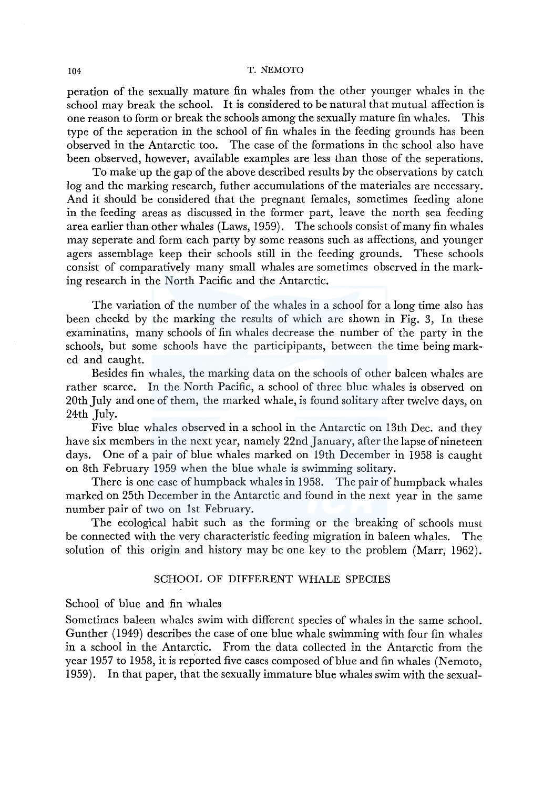peration of the sexually mature fin whales from the other younger whales in the school may break the school. It is considered to be natural that mutual affection is one reason to form or break the schools among the sexually mature fin whales. This type of the seperation in the school of fin whales in the feeding grounds has been observed in the Antarctic too. The case of the formations in the school also have been observed, however, available examples are less than those of the seperations.

To make up the gap of the above described results by the observations by catch log and the marking research, futher accumulations of the materiales are necessary. And it should be considered that the pregnant females, sometimes feeding alone in the feeding areas as discussed in the former part, leave the north sea feeding area earlier than other whales (Laws, 1959). The schools consist of many fin whales may seperate and form each party by some reasons such as affections, and younger agers assemblage keep their schools still in the feeding grounds. These schools consist of comparatively many small whales are sometimes observed in the marking research in the North Pacific and the Antarctic.

The variation of the number of the whales in a school for a long time also has been checkd by the marking the results of which are shown in Fig. 3, In these examinatins, many schools of fin whales decrease the number of the party in the schools, but some schools have the participipants, between the time being marked and caught.

Besides fin whales, the marking data on the schools of other baleen whales are rather scarce. In the North Pacific, a school of three blue whales is observed on 20th July and one of them, the marked whale, is found solitary after twelve days, on 24th July.

Five blue whales observed in a school in the Antarctic on 13th Dec. and they have six members in the next year, namely 22nd January, after the lapse of nineteen days. One of a pair of blue whales marked on 19th December in 1958 is caught on 8th February 1959 when the blue whale is swimming solitary.

There is one case of humpback whales in 1958. The pair of humpback whales marked on 25th December in the Antarctic and found in the next year in the same number pair of two on lst February.

The ecological habit such as the forming or the breaking of schools must be connected with the very characteristic feeding migration in baleen whales. The solution of this origin and history may be one key to the problem (Marr, 1962).

# SCHOOL OF DIFFERENT WHALE SPECIES

School of blue and fin whales

Sometimes baleen whales swim with different species of whales in the same school. Gunther (1949) describes the case of one blue whale swimming with four fin whales in a school in the Antarctic. From the data collected in the Antarctic from the year 1957 to 1958, it is reported five cases composed of blue and fin whales (Nemoto, 1959). In that paper, that the sexually immature blue whales swim with the sexual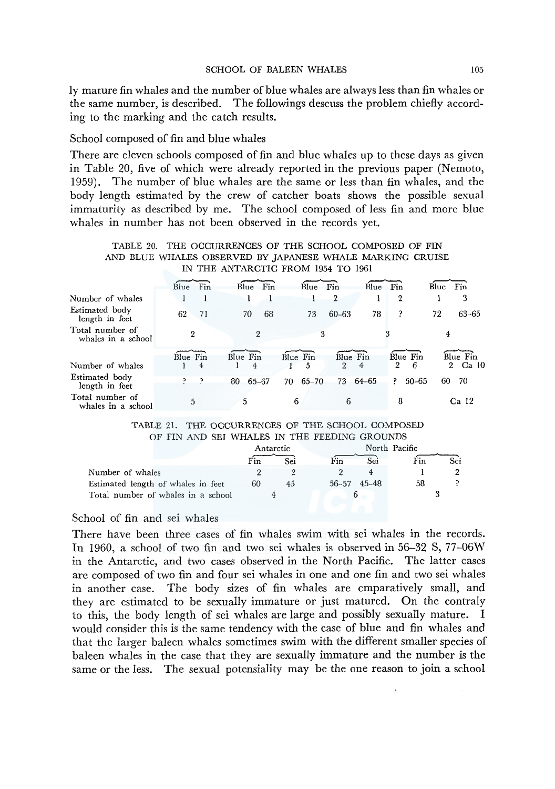ly mature fin whales and the number of blue whales are always less than fin whales or the same number, is described. The followings descuss the problem chiefly according to the marking and the catch results.

### School composed of fin and blue whales

There are eleven schools composed of fin and blue whales up to these days as given in Table 20, five of which were already reported in the previous paper (Nemoto, 1959). The number of blue whales are the same or less than fin whales, and the body length estimated by the crew of catcher boats shows the possible sexual immaturity as described by me. The school composed of less fin and more blue whales in number has not been observed in the records yet.

| AND BLUE WHALES OBSERVED BY JAPANESE WHALE MARKING CRUISE |              |          |          |                       |  |  |  |  |
|-----------------------------------------------------------|--------------|----------|----------|-----------------------|--|--|--|--|
| IN THE ANTARCTIC FROM 1954 TO 1961                        |              |          |          |                       |  |  |  |  |
| $Blue$ Fin                                                | $Blue$ $Fin$ | Blue Fin | Blue Fin | $B\overline{Iue}$ Fin |  |  |  |  |

TABLE 20. THE OCCURRENCES OF THE SCHOOL COMPOSED OF FIN

| Number of whales                      |          |             | 2                    | 2                       | 3           |
|---------------------------------------|----------|-------------|----------------------|-------------------------|-------------|
| Estimated body<br>length in feet      | 62<br>71 | 68<br>70    | $60 - 63$<br>73      | P<br>78                 | 63-65<br>72 |
| Total number of<br>whales in a school | 2        |             |                      |                         |             |
|                                       | Blue Fin | Blue Fin    | Blue Fin<br>Blue Fin | Blue Fin                | Blue Fin    |
| Number of whales                      | 4        | 4           | 2<br>.5              | 6<br>$2^{\circ}$<br>4   | 2 Ca 10     |
| Estimated body<br>length in feet      | כף כ     | 65-67<br>80 | 70 65-70<br>73       | 64–65<br>$50 - 65$<br>P | -70<br>60   |
| Total number of<br>whales in a school | 5        | 5           | 6<br>6               | 8                       | Ca 12       |

#### TABLE 21. THE OCCURRENCES OF THE SCHOOL COMPOSED OF FIN AND SEI WHALES IN THE FEEDING GROUNDS.

| TABLE 21. THE OCCURRENCES OF THE SCHOOL COMPOSED |           |     |                     |               |     |     |  |  |  |
|--------------------------------------------------|-----------|-----|---------------------|---------------|-----|-----|--|--|--|
| OF FIN AND SEI WHALES IN THE FEEDING GROUNDS     |           |     |                     |               |     |     |  |  |  |
|                                                  | Antarctic |     |                     | North Pacific |     |     |  |  |  |
|                                                  | Fin       | Sei | Fin                 | Sei           | Fin | Sei |  |  |  |
| Number of whales                                 |           |     |                     |               |     |     |  |  |  |
| Estimated length of whales in feet               | 60        | 45  | $56 - 57$ $45 - 48$ |               | 58  |     |  |  |  |
| Total number of whales in a school               |           |     | 6                   |               |     |     |  |  |  |

### School of fin and sei whales

There have been three cases of fin whales swim with sei whales in the records. In 1960, a school of two fin and two sei whales is observed in 56-32 S, 77-06W in the Antarctic, and two cases observed in the North Pacific. The latter cases are composed of two fin and four sei whales in one and one fin and two sei whales in another case. The body sizes of fin whales are cmparatively small, and they are estimated to be sexually immature or just matured. On the contraly to this, the body length of sei whales are large and possibly sexually mature. I would consider this is the same tendency with the case of blue and fin whales and that the larger baleen whales sometimes swim with the different smaller species of baleen whales in the case that they are sexually immature and the number is the same or the less. The sexual potensiality may be the one reason to join a school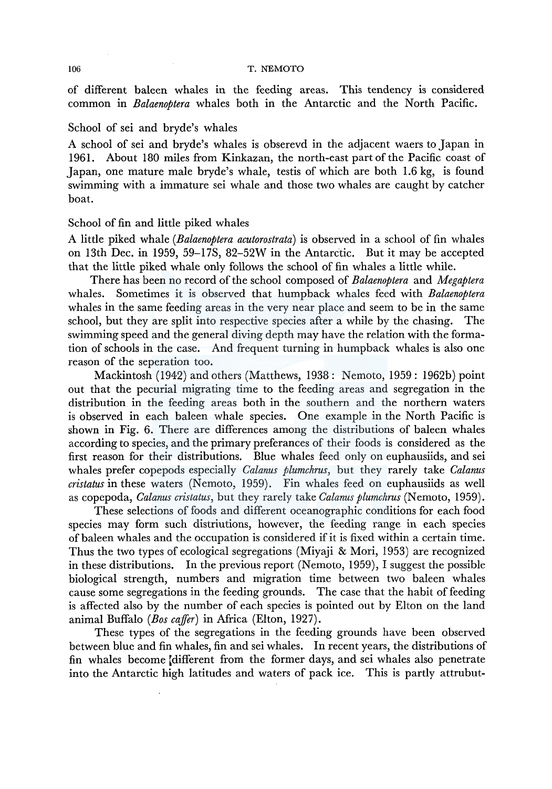of different baleen whales in the feeding areas. This tendency is considered common m *Balaenoptera* whales both in the Antarctic and the North Pacific.

#### School of sei and bryde's whales

A school of sei and bryde's whales is obserevd in the adjacent waers to Japan in 1961. About 180 miles from Kinkazan, the north-east part of the Pacific coast of Japan, one mature male bryde's whale, testis of which are both 1.6 kg, is found swimming with a immature sei whale and those two whales are caught by catcher boat.

### School of fin and little piked whales

A little piked whale *(Balaenoptera acutorostrata)* is observed in a school of fin whales on 13th Dec. in 1959, 59-17S, 82-52W in the Antarctic. But it may be accepted that the little piked whale only follows the school of fin whales a little while.

There has been no record of the school composed of *Balaenoptera* and *Megaptera*  whales. Sometimes it is observed that humpback whales feed with *Balaenoptera*  whales in the same feeding areas in the very near place and seem to be in the same school, but they are split into respective species after a while by the chasing. The swimming speed and the general diving depth may have the relation with the formation of schools in the case. And frequent turning in humpback whales is also one reason of the seperation too.

Mackintosh (1942) and others (Matthews, 1938: Nemoto, 1959: 1962b) point out that the pecurial migrating time to the feeding areas and segregation in the distribution in the feeding areas both in the southern and the northern waters is observed in each baleen whale species. One example in the North Pacific is shown in Fig. 6. There are differences among the distributions of baleen whales according to species, and the primary preferances of their foods is considered as the first reason for their distributions. Blue whales feed only on euphausiids, and sei whales prefer copepods especially *Calanus plumchrus,* but they rarely take *Calanus cristatus* in these waters (Nemoto, 1959). Fin whales feed on euphausiids as well as copepoda, *Calanus cristatus,* but they rarely take *Calanus plumchrus* (Nemoto, 1959).

These selections of foods and different oceanographic conditions for each food species may form such distriutions, however, the feeding range in each species of baleen whales and the occupation is considered if it is fixed within a certain time. Thus the two types of ecological segregations (Miyaji & Mori, 1953) are recognized in these distributions. In the previous report (Nemoto, 1959), I suggest the possible biological strength, numbers and migration time between two baleen whales cause some segregations in the feeding grounds. The case that the habit of feeding is affected also by the number of each species is pointed out by Elton on the land animal Buffalo *(Bos cajfer)* in Africa (Elton, 1927).

These types of the segregations in the feeding grounds have been observed between blue and fin whales, fin and sei whales. In recent years, the distributions of fin whales become different from the former days, and sei whales also penetrate into the Antarctic high latitudes and waters of pack ice. This is partly attrubut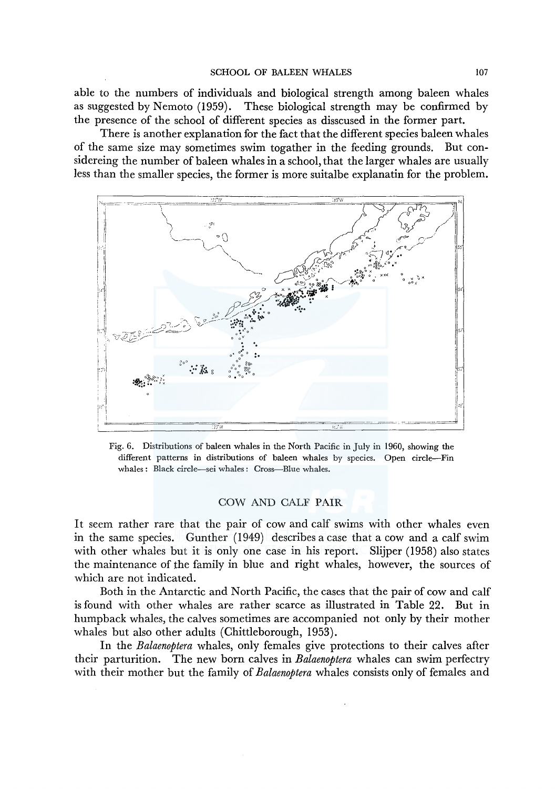able to the numbers of individuals and biological strength among baleen whales as suggested by Nemoto (1959). These biological strength may be confirmed by the presence of the school of different species as disscused in the former part.

There is another explanation for the fact that the different species baleen whales of the same size may sometimes swim togather in the feeding grounds. But considereing the number of baleen whales in a school, that the larger whales are usually less than the smaller species, the former is more suitalbe explanatin for the problem.



Fig. 6. Distributions of baleen whales in the North Pacific in July in 1960, showing the different patterns in distributions of baleen whales by species. Open circle-Fin whales: Black circle-sei whales: Cross-Blue whales.

### COW AND CALF PAIR

It seem rather rare that the pair of cow and calf swims with other whales even in the same species. Gunther (1949) describes a case that a cow and a calf swim with other whales but it is only one case in his report. Slijper (1958) also states the maintenance of the family in blue and right whales, however, the sources of which are not indicated.

Both in the Antarctic and North Pacific, the cases that the pair of cow and calf is found with other whales are rather scarce as illustrated in Table 22. But in humpback whales, the calves sometimes are accompanied not only by their mother whales but also other adults (Chittleborough, 1953).

In the *Balaenoptera* whales, only females give protections to their calves after their parturition. The new born calves in *Balaenoptera* whales can swim perfectry with their mother but the family of *Balaenoptera* whales consists only of females and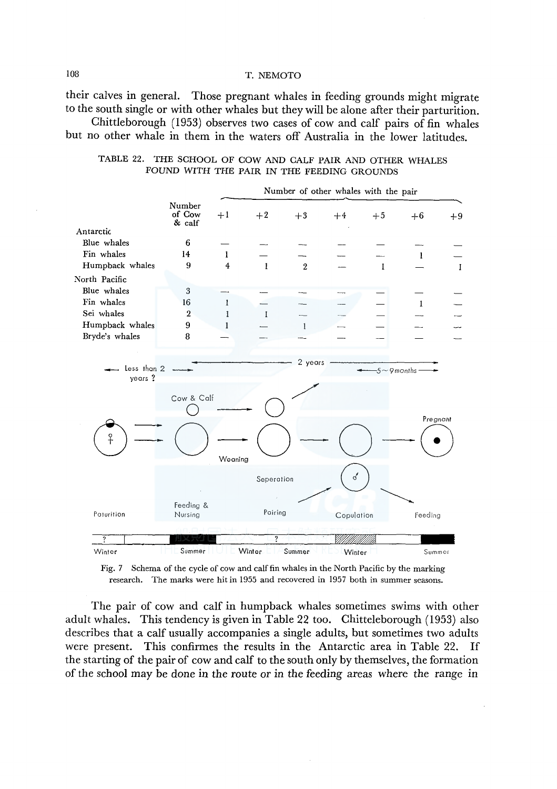their calves in general. Those pregnant whales in feeding grounds might migrate to the south single or with other whales but they will be alone after their parturition.

Chittleborough (1953) observes two cases of cow and calf pairs of fin whales but no other whale in them in the waters off Australia in the lower latitudes.

| TABLE 22. THE SCHOOL OF COW AND CALF PAIR AND OTHER WHALES |  |  |  |
|------------------------------------------------------------|--|--|--|
| FOUND WITH THE PAIR IN THE FEEDING GROUNDS                 |  |  |  |



Fig. 7 Schema of the cycle of cow and calf fin whales in the North Pacific by the marking research. The marks were hitin 1955 and recovered in 1957 both in summer seasons.

The pair of cow and calf in humpback whales sometimes swims with other adult whales. This tendency is given in Table 22 too. Chitteleborough (1953) also describes that a calf usually accompanies a single adults, but sometimes two adults were present. This confirmes the results in the Antarctic area in Table 22. If the starting of the pair of cow and calf to the south only by themselves, the formation of the school may be done in the route or in the feeding areas where the range in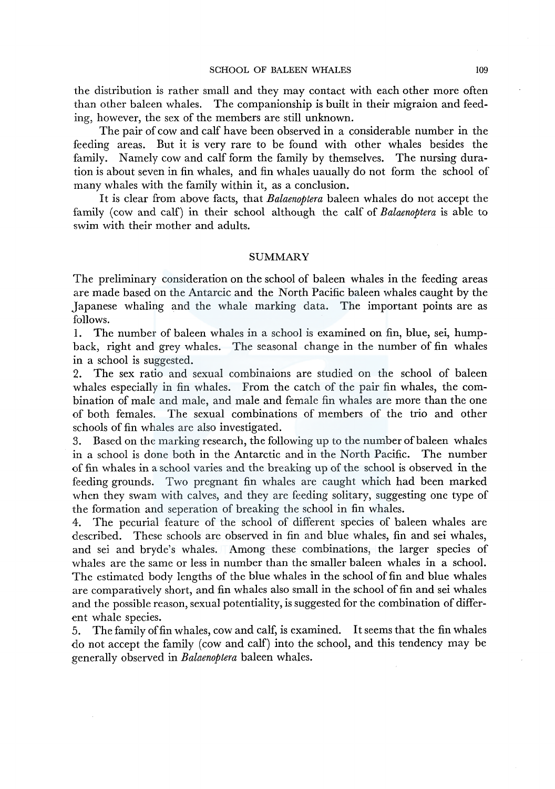the distribution is rather small and they may contact with each other more often than other baleen whales. The companionship is built in their migraion and feeding, however, the sex of the members are still unknown.

The pair of cow and calf have been observed in a considerable number in the feeding areas. But it is very rare to be found with other whales besides the family. Namely cow and calf form the family by themselves. The nursing duration is about seven in fin whales, and fin whales uaually do not form the school of many whales with the family within it, as a conclusion.

It is clear from above facts, that *Balaenoptera* baleen whales do not accept the family (cow and calf) in their school although the calf of *Balaenoptera* is able to swim with their mother and adults.

#### **SUMMARY**

The preliminary consideration on the school of baleen whales in the feeding areas are made based on the Antarcic and the North Pacific baleen whales caught by the Japanese whaling and the whale marking data. The important points are as follows.

1. The number of baleen whales in a school is examined on fin, blue, sei, humpback, right and grey whales. The seasonal change in the number of fin whales in a school is suggested.

2. The sex ratio and sexual combinaions are studied on the school of baleen whales especially in fin whales. From the catch of the pair fin whales, the combination of male and male, and male and female fin whales are more than the one of both females. The sexual combinations of members of the trio and other schools of fin whales are also investigated.

3. Based on the marking research, the following up to the number of baleen whales in a school is done both in the Antarctic and in the North Pacific. The number of fin whales in a school varies and the breaking up of the school is observed in the feeding grounds. Two pregnant fin whales are caught which had been marked when they swam with calves, and they are feeding solitary, suggesting one type of the formation and seperation of breaking the school in fin whales.

4. The pecurial feature of the school of different species of baleen whales are described. These schools are observed in fin and blue whales, fin and sei whales, and sei and bryde's whales. Among these combinations, the larger species of whales are the same or less in number than the smaller baleen whales in a school. The estimated body lengths of the blue whales in the school of fin and blue whales are comparatively short, and fin whales also small in the school of fin and sei whales and the possible reason, sexual potentiality, is suggested for the combination of different whale species.

5. The family of fin whales, cow and calf, is examined. It seems that the fin whales do not accept the family (cow and calf) into the school, and this tendency may be generally observed in *Balaenoptera* baleen whales.